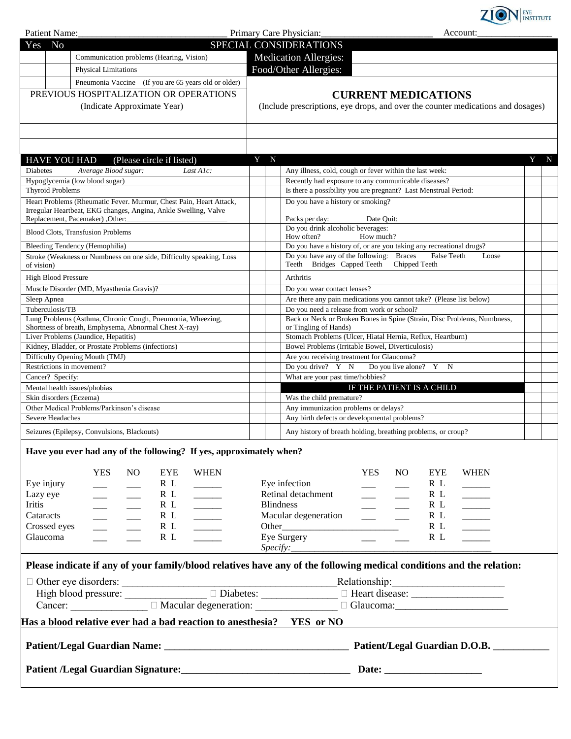

| Patient Name:                                           |                                                                                                                                                          |                                                                  | Primary Care Physician:<br>Account:                                                                                                                                                                                                                                                                                                                                                                                                                                                                   |        |  |  |
|---------------------------------------------------------|----------------------------------------------------------------------------------------------------------------------------------------------------------|------------------------------------------------------------------|-------------------------------------------------------------------------------------------------------------------------------------------------------------------------------------------------------------------------------------------------------------------------------------------------------------------------------------------------------------------------------------------------------------------------------------------------------------------------------------------------------|--------|--|--|
| N <sub>o</sub><br>Yes                                   |                                                                                                                                                          |                                                                  | SPECIAL CONSIDERATIONS                                                                                                                                                                                                                                                                                                                                                                                                                                                                                |        |  |  |
|                                                         | Communication problems (Hearing, Vision)                                                                                                                 |                                                                  | <b>Medication Allergies:</b>                                                                                                                                                                                                                                                                                                                                                                                                                                                                          |        |  |  |
|                                                         | <b>Physical Limitations</b>                                                                                                                              |                                                                  | Food/Other Allergies:                                                                                                                                                                                                                                                                                                                                                                                                                                                                                 |        |  |  |
|                                                         | Pneumonia Vaccine - (If you are 65 years old or older)                                                                                                   |                                                                  |                                                                                                                                                                                                                                                                                                                                                                                                                                                                                                       |        |  |  |
|                                                         | PREVIOUS HOSPITALIZATION OR OPERATIONS                                                                                                                   |                                                                  | <b>CURRENT MEDICATIONS</b>                                                                                                                                                                                                                                                                                                                                                                                                                                                                            |        |  |  |
| (Indicate Approximate Year)                             |                                                                                                                                                          |                                                                  | (Include prescriptions, eye drops, and over the counter medications and dosages)                                                                                                                                                                                                                                                                                                                                                                                                                      |        |  |  |
|                                                         |                                                                                                                                                          |                                                                  |                                                                                                                                                                                                                                                                                                                                                                                                                                                                                                       |        |  |  |
| <b>HAVE YOU HAD</b>                                     | (Please circle if listed)                                                                                                                                | Y N                                                              |                                                                                                                                                                                                                                                                                                                                                                                                                                                                                                       | Y<br>N |  |  |
| <b>Diabetes</b>                                         | Average Blood sugar:<br>Last A1c:                                                                                                                        |                                                                  | Any illness, cold, cough or fever within the last week:                                                                                                                                                                                                                                                                                                                                                                                                                                               |        |  |  |
| Hypoglycemia (low blood sugar)                          |                                                                                                                                                          |                                                                  | Recently had exposure to any communicable diseases?                                                                                                                                                                                                                                                                                                                                                                                                                                                   |        |  |  |
| <b>Thyroid Problems</b>                                 |                                                                                                                                                          |                                                                  | Is there a possibility you are pregnant? Last Menstrual Period:                                                                                                                                                                                                                                                                                                                                                                                                                                       |        |  |  |
|                                                         | Heart Problems (Rheumatic Fever. Murmur, Chest Pain, Heart Attack,<br>Irregular Heartbeat, EKG changes, Angina, Ankle Swelling, Valve                    |                                                                  | Do you have a history or smoking?                                                                                                                                                                                                                                                                                                                                                                                                                                                                     |        |  |  |
| Replacement, Pacemaker) , Other:                        |                                                                                                                                                          |                                                                  | Packs per day:<br>Date Quit:                                                                                                                                                                                                                                                                                                                                                                                                                                                                          |        |  |  |
| <b>Blood Clots, Transfusion Problems</b>                |                                                                                                                                                          |                                                                  | Do you drink alcoholic beverages:                                                                                                                                                                                                                                                                                                                                                                                                                                                                     |        |  |  |
|                                                         |                                                                                                                                                          |                                                                  | How often?<br>How much?                                                                                                                                                                                                                                                                                                                                                                                                                                                                               |        |  |  |
| Bleeding Tendency (Hemophilia)                          |                                                                                                                                                          |                                                                  | Do you have a history of, or are you taking any recreational drugs?<br>Do you have any of the following: Braces<br><b>False Teeth</b><br>Loose                                                                                                                                                                                                                                                                                                                                                        |        |  |  |
| of vision)                                              | Stroke (Weakness or Numbness on one side, Difficulty speaking, Loss                                                                                      |                                                                  | Teeth Bridges Capped Teeth<br>Chipped Teeth                                                                                                                                                                                                                                                                                                                                                                                                                                                           |        |  |  |
| <b>High Blood Pressure</b>                              |                                                                                                                                                          |                                                                  | Arthritis                                                                                                                                                                                                                                                                                                                                                                                                                                                                                             |        |  |  |
|                                                         | Muscle Disorder (MD, Myasthenia Gravis)?                                                                                                                 |                                                                  | Do you wear contact lenses?                                                                                                                                                                                                                                                                                                                                                                                                                                                                           |        |  |  |
| Sleep Apnea                                             |                                                                                                                                                          |                                                                  | Are there any pain medications you cannot take? (Please list below)                                                                                                                                                                                                                                                                                                                                                                                                                                   |        |  |  |
| Tuberculosis/TB                                         | Lung Problems (Asthma, Chronic Cough, Pneumonia, Wheezing,                                                                                               |                                                                  | Do you need a release from work or school?<br>Back or Neck or Broken Bones in Spine (Strain, Disc Problems, Numbness,                                                                                                                                                                                                                                                                                                                                                                                 |        |  |  |
|                                                         | Shortness of breath, Emphysema, Abnormal Chest X-ray)                                                                                                    |                                                                  | or Tingling of Hands)                                                                                                                                                                                                                                                                                                                                                                                                                                                                                 |        |  |  |
|                                                         | Liver Problems (Jaundice, Hepatitis)                                                                                                                     |                                                                  | Stomach Problems (Ulcer, Hiatal Hernia, Reflux, Heartburn)                                                                                                                                                                                                                                                                                                                                                                                                                                            |        |  |  |
|                                                         | Kidney, Bladder, or Prostate Problems (infections)                                                                                                       | Bowel Problems (Irritable Bowel, Diverticulosis)                 |                                                                                                                                                                                                                                                                                                                                                                                                                                                                                                       |        |  |  |
| Difficulty Opening Mouth (TMJ)                          |                                                                                                                                                          | Are you receiving treatment for Glaucoma?                        |                                                                                                                                                                                                                                                                                                                                                                                                                                                                                                       |        |  |  |
| Restrictions in movement?                               |                                                                                                                                                          |                                                                  | Do you drive? Y N<br>Do you live alone? Y<br>N                                                                                                                                                                                                                                                                                                                                                                                                                                                        |        |  |  |
| Cancer? Specify:                                        |                                                                                                                                                          | What are your past time/hobbies?                                 |                                                                                                                                                                                                                                                                                                                                                                                                                                                                                                       |        |  |  |
| Mental health issues/phobias<br>Skin disorders (Eczema) |                                                                                                                                                          | IF THE PATIENT IS A CHILD                                        |                                                                                                                                                                                                                                                                                                                                                                                                                                                                                                       |        |  |  |
|                                                         | Other Medical Problems/Parkinson's disease                                                                                                               | Was the child premature?<br>Any immunization problems or delays? |                                                                                                                                                                                                                                                                                                                                                                                                                                                                                                       |        |  |  |
| Severe Headaches                                        |                                                                                                                                                          |                                                                  | Any birth defects or developmental problems?                                                                                                                                                                                                                                                                                                                                                                                                                                                          |        |  |  |
| Seizures (Epilepsy, Convulsions, Blackouts)             |                                                                                                                                                          |                                                                  | Any history of breath holding, breathing problems, or croup?                                                                                                                                                                                                                                                                                                                                                                                                                                          |        |  |  |
| Eye injury                                              | Have you ever had any of the following? If yes, approximately when?<br><b>YES</b><br><b>WHEN</b><br>N <sub>O</sub><br><b>EYE</b><br>R L<br>$\frac{1}{1}$ |                                                                  | <b>YES</b><br>NO.<br>EYE<br><b>WHEN</b><br>Eye infection<br>R L<br>$\overline{\phantom{a}}$                                                                                                                                                                                                                                                                                                                                                                                                           |        |  |  |
| Lazy eye                                                | R L<br>$\frac{1}{1}$                                                                                                                                     |                                                                  | Retinal detachment<br>R L<br>$\mathcal{L}^{\text{max}}$ and $\mathcal{L}^{\text{max}}$                                                                                                                                                                                                                                                                                                                                                                                                                |        |  |  |
| Iritis                                                  | R L<br>$\frac{1}{1}$<br>$\frac{1}{1}$<br>$\frac{1}{2}$                                                                                                   |                                                                  | <b>Blindness</b><br>R L<br>$\frac{1}{2} \left( \frac{1}{2} \right) \left( \frac{1}{2} \right) \left( \frac{1}{2} \right) \left( \frac{1}{2} \right) \left( \frac{1}{2} \right) \left( \frac{1}{2} \right) \left( \frac{1}{2} \right) \left( \frac{1}{2} \right) \left( \frac{1}{2} \right) \left( \frac{1}{2} \right) \left( \frac{1}{2} \right) \left( \frac{1}{2} \right) \left( \frac{1}{2} \right) \left( \frac{1}{2} \right) \left( \frac{1}{2} \right) \left( \frac{1}{2} \right) \left( \frac$ |        |  |  |
| Cataracts                                               | R L<br>$\frac{1}{1}$<br>$\overline{\phantom{a}}$<br>$\frac{1}{1}$                                                                                        |                                                                  | Macular degeneration<br>R L<br>$\overline{\phantom{a}}$<br>$\frac{1}{2}$                                                                                                                                                                                                                                                                                                                                                                                                                              |        |  |  |
| Crossed eyes                                            | R L<br>$\frac{1}{1}$<br>$\mathcal{L}^{\text{max}}$<br>$\frac{1}{1}$                                                                                      | R L<br>$\mathcal{L}^{\text{max}}$ and $\mathcal{L}^{\text{max}}$ |                                                                                                                                                                                                                                                                                                                                                                                                                                                                                                       |        |  |  |
| Glaucoma                                                | R L<br>$\frac{1}{2}$<br>$\overline{\phantom{a}}$                                                                                                         | $\textit{Specify:}\_$                                            | Eye Surgery<br>R L<br><b>Contract Contract</b><br>$\frac{1}{2}$                                                                                                                                                                                                                                                                                                                                                                                                                                       |        |  |  |
|                                                         |                                                                                                                                                          |                                                                  | Please indicate if any of your family/blood relatives have any of the following medical conditions and the relation:                                                                                                                                                                                                                                                                                                                                                                                  |        |  |  |
|                                                         |                                                                                                                                                          |                                                                  |                                                                                                                                                                                                                                                                                                                                                                                                                                                                                                       |        |  |  |
|                                                         |                                                                                                                                                          |                                                                  | □ Other eye disorders:<br>High blood pressure:<br>□ Diabetes:<br>□ Diabetes:<br>□ Heart disease:<br>□ Heart disease:<br>□ Heart disease:<br>□ Heart disease:<br>□ Heart disease:<br>□ Heart disease:<br>□ Heart disease:<br>□ Heart disea                                                                                                                                                                                                                                                             |        |  |  |
|                                                         |                                                                                                                                                          |                                                                  | Cancer: Macular degeneration: Glaucoma: Glaucoma:                                                                                                                                                                                                                                                                                                                                                                                                                                                     |        |  |  |
|                                                         | Has a blood relative ever had a bad reaction to anesthesia? YES or NO                                                                                    |                                                                  |                                                                                                                                                                                                                                                                                                                                                                                                                                                                                                       |        |  |  |
|                                                         |                                                                                                                                                          |                                                                  |                                                                                                                                                                                                                                                                                                                                                                                                                                                                                                       |        |  |  |
|                                                         |                                                                                                                                                          |                                                                  |                                                                                                                                                                                                                                                                                                                                                                                                                                                                                                       |        |  |  |
|                                                         | Patient /Legal Guardian Signature: 1986 1997                                                                                                             |                                                                  |                                                                                                                                                                                                                                                                                                                                                                                                                                                                                                       |        |  |  |
|                                                         |                                                                                                                                                          |                                                                  |                                                                                                                                                                                                                                                                                                                                                                                                                                                                                                       |        |  |  |